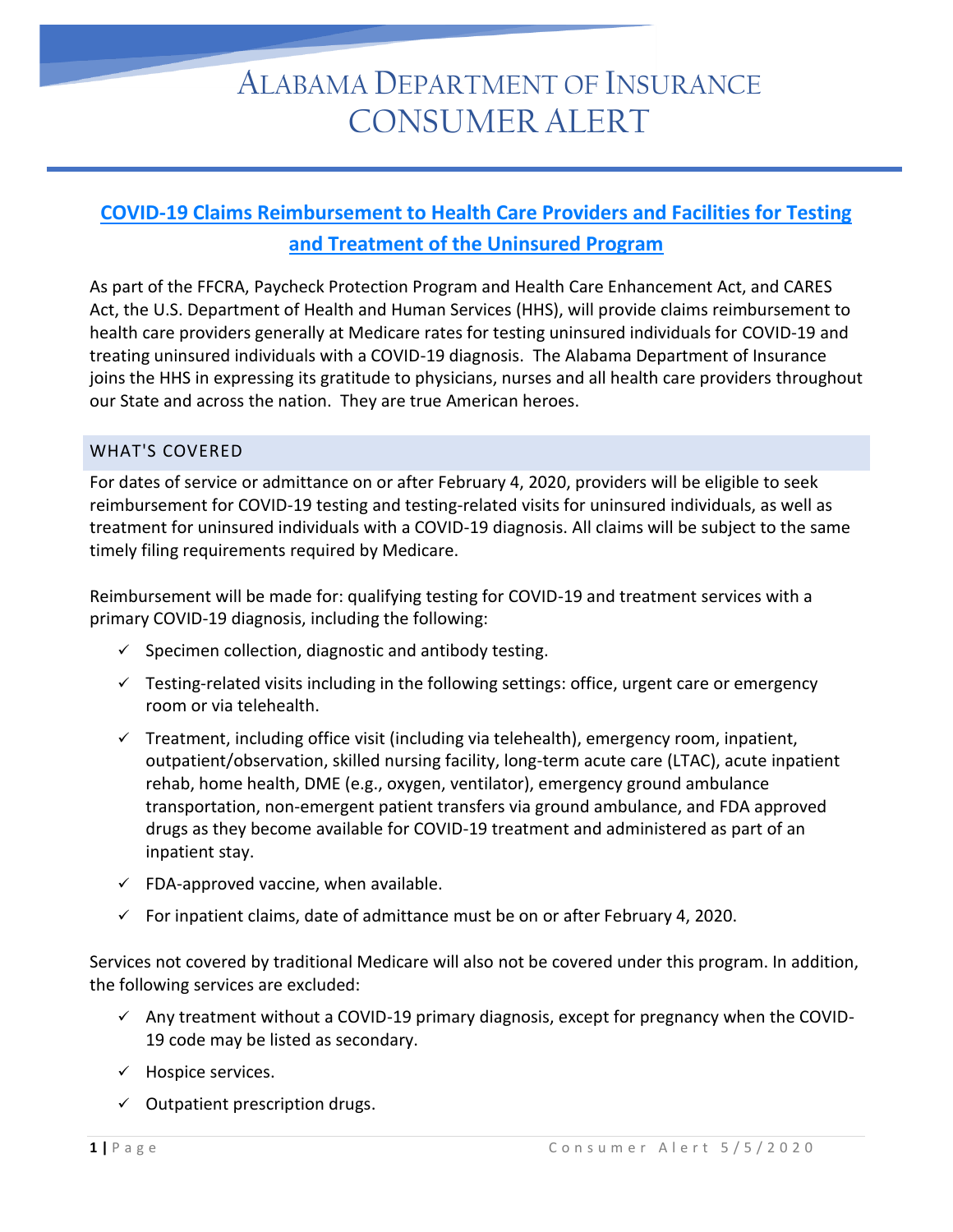## ALABAMA DEPARTMENT OF INSURANCE CONSUMER ALERT

## **[COVID-19 Claims Reimbursement to Health Care Providers and Facilities for Testing](https://www.hrsa.gov/coviduninsuredclaim)  [and Treatment of the Uninsured Program](https://www.hrsa.gov/coviduninsuredclaim)**

As part of the FFCRA, Paycheck Protection Program and Health Care Enhancement Act, and CARES Act, the U.S. Department of Health and Human Services (HHS), will provide claims reimbursement to health care providers generally at Medicare rates for testing uninsured individuals for COVID-19 and treating uninsured individuals with a COVID-19 diagnosis. The Alabama Department of Insurance joins the HHS in expressing its gratitude to physicians, nurses and all health care providers throughout our State and across the nation. They are true American heroes.

## WHAT'S COVERED

For dates of service or admittance on or after February 4, 2020, providers will be eligible to seek reimbursement for COVID-19 testing and testing-related visits for uninsured individuals, as well as treatment for uninsured individuals with a COVID-19 diagnosis. All claims will be subject to the same timely filing requirements required by Medicare.

Reimbursement will be made for: qualifying testing for COVID-19 and treatment services with a primary COVID-19 diagnosis, including the following:

- $\checkmark$  Specimen collection, diagnostic and antibody testing.
- $\checkmark$  Testing-related visits including in the following settings: office, urgent care or emergency room or via telehealth.
- $\checkmark$  Treatment, including office visit (including via telehealth), emergency room, inpatient, outpatient/observation, skilled nursing facility, long-term acute care (LTAC), acute inpatient rehab, home health, DME (e.g., oxygen, ventilator), emergency ground ambulance transportation, non-emergent patient transfers via ground ambulance, and FDA approved drugs as they become available for COVID-19 treatment and administered as part of an inpatient stay.
- $\checkmark$  FDA-approved vaccine, when available.
- $\checkmark$  For inpatient claims, date of admittance must be on or after February 4, 2020.

Services not covered by traditional Medicare will also not be covered under this program. In addition, the following services are excluded:

- $\checkmark$  Any treatment without a COVID-19 primary diagnosis, except for pregnancy when the COVID-19 code may be listed as secondary.
- $\checkmark$  Hospice services.
- $\checkmark$  Outpatient prescription drugs.